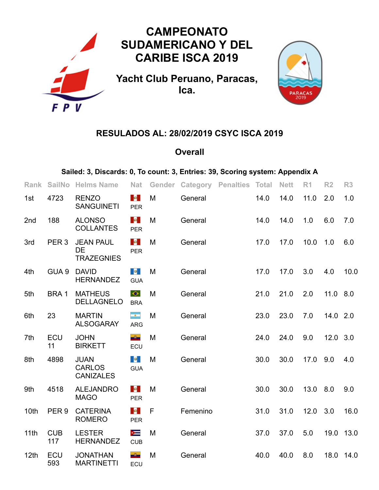

## **RESULADOS AL: 28/02/2019 CSYC ISCA 2019**

## **Overall**

## **Sailed: 3, Discards: 0, To count: 3, Entries: 39, Scoring system: Appendix A**

| <b>Rank</b>      | <b>SailNo</b>     | <b>Helms Name</b>                                  | <b>Nat</b>                                 | Gender |          | <b>Category Penalties Total</b> |      | <b>Nett</b> | R <sub>1</sub> | R <sub>2</sub> | R3        |
|------------------|-------------------|----------------------------------------------------|--------------------------------------------|--------|----------|---------------------------------|------|-------------|----------------|----------------|-----------|
| 1st              | 4723              | <b>RENZO</b><br><b>SANGUINETI</b>                  | <b>Contract</b><br><b>PER</b>              | M      | General  |                                 | 14.0 | 14.0        | 11.0           | 2.0            | 1.0       |
| 2nd              | 188               | <b>ALONSO</b><br><b>COLLANTES</b>                  | $\mathcal{A}^{\text{in}}$<br><b>PER</b>    | M      | General  |                                 | 14.0 | 14.0        | 1.0            | 6.0            | 7.0       |
| 3rd              | PER <sub>3</sub>  | <b>JEAN PAUL</b><br><b>DE</b><br><b>TRAZEGNIES</b> | $\mathcal{A}^{\mathrm{in}}$<br><b>PER</b>  | M      | General  |                                 | 17.0 | 17.0        | 10.0           | 1.0            | 6.0       |
| 4th              | GUA <sub>9</sub>  | <b>DAVID</b><br><b>HERNANDEZ</b>                   | $\mathbf{e}$<br><b>GUA</b>                 | M      | General  |                                 | 17.0 | 17.0        | 3.0            | 4.0            | 10.0      |
| 5th              | BRA1              | <b>MATHEUS</b><br><b>DELLAGNELO</b>                | $\bullet$<br><b>BRA</b>                    | M      | General  |                                 | 21.0 | 21.0        | 2.0            | 11.0 8.0       |           |
| 6th              | 23                | <b>MARTIN</b><br><b>ALSOGARAY</b>                  | $\sim$<br><b>ARG</b>                       | M      | General  |                                 | 23.0 | 23.0        | 7.0            | 14.0 2.0       |           |
| 7th              | ECU<br>11         | <b>JOHN</b><br><b>BIRKETT</b>                      | $\Delta$<br>ECU                            | M      | General  |                                 | 24.0 | 24.0        | 9.0            | 12.0 3.0       |           |
| 8th              | 4898              | <b>JUAN</b><br><b>CARLOS</b><br><b>CANIZALES</b>   | $\mathbf{c}$<br><b>GUA</b>                 | M      | General  |                                 | 30.0 | 30.0        | 17.0           | 9.0            | 4.0       |
| 9th              | 4518              | <b>ALEJANDRO</b><br><b>MAGO</b>                    | $\mathcal{M}_{\mathrm{eff}}$<br><b>PER</b> | M      | General  |                                 | 30.0 | 30.0        | 13.0           | 8.0            | 9.0       |
| 10th             | PER <sub>9</sub>  | <b>CATERINA</b><br><b>ROMERO</b>                   | $\mathcal{A}(\mathcal{A})$<br><b>PER</b>   | F      | Femenino |                                 | 31.0 | 31.0        | 12.0           | 3.0            | 16.0      |
| 11 <sub>th</sub> | <b>CUB</b><br>117 | <b>LESTER</b><br><b>HERNANDEZ</b>                  | $\equiv$<br><b>CUB</b>                     | M      | General  |                                 | 37.0 | 37.0        | 5.0            |                | 19.0 13.0 |
| 12th             | ECU<br>593        | <b>JONATHAN</b><br><b>MARTINETTI</b>               | $\Delta$<br>ECU                            | M      | General  |                                 | 40.0 | 40.0        | 8.0            | 18.0           | 14.0      |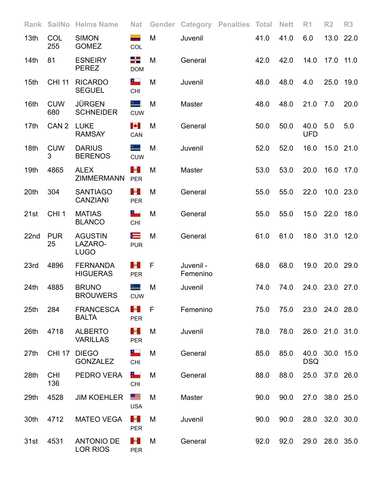| Rank             | <b>SailNo</b>     | <b>Helms Name</b>                        | <b>Nat</b>                                | Gender | Category              | <b>Penalties Total</b> |      | <b>Nett</b> | R <sub>1</sub>     | R <sub>2</sub> | R3        |
|------------------|-------------------|------------------------------------------|-------------------------------------------|--------|-----------------------|------------------------|------|-------------|--------------------|----------------|-----------|
| 13 <sub>th</sub> | COL<br>255        | <b>SIMON</b><br><b>GOMEZ</b>             | —<br>COL                                  | M      | Juvenil               |                        | 41.0 | 41.0        | 6.0                |                | 13.0 22.0 |
| 14 <sub>th</sub> | 81                | <b>ESNEIRY</b><br><b>PEREZ</b>           | -5<br><b>DOM</b>                          | M      | General               |                        | 42.0 | 42.0        | 14.0               | 17.0 11.0      |           |
| 15 <sub>th</sub> | <b>CHI 11</b>     | <b>RICARDO</b><br><b>SEGUEL</b>          | <b>CHI</b>                                | M      | Juvenil               |                        | 48.0 | 48.0        | 4.0                | 25.0           | 19.0      |
| 16th             | <b>CUW</b><br>680 | <b>JÜRGEN</b><br><b>SCHNEIDER</b>        | ∸<br><b>CUW</b>                           | M      | Master                |                        | 48.0 | 48.0        | 21.0               | 7.0            | 20.0      |
| 17th             | CAN <sub>2</sub>  | <b>LUKE</b><br><b>RAMSAY</b>             | <b>P</b><br>CAN                           | M      | General               |                        | 50.0 | 50.0        | 40.0<br><b>UFD</b> | 5.0            | 5.0       |
| 18th             | <b>CUW</b><br>3   | <b>DARIUS</b><br><b>BERENOS</b>          | <b>CUW</b>                                | M      | Juvenil               |                        | 52.0 | 52.0        | 16.0               | 15.0 21.0      |           |
| 19th             | 4865              | <b>ALEX</b><br><b>ZIMMERMANN</b>         | M.<br><b>PER</b>                          | M      | Master                |                        | 53.0 | 53.0        | 20.0               | 16.0 17.0      |           |
| 20th             | 304               | <b>SANTIAGO</b><br><b>CANZIANI</b>       | $\mathcal{A}^{\text{in}}$ .<br><b>PER</b> | M      | General               |                        | 55.0 | 55.0        | 22.0               | 10.0 23.0      |           |
| 21st             | CHI <sub>1</sub>  | <b>MATIAS</b><br><b>BLANCO</b>           | CHI                                       | M      | General               |                        | 55.0 | 55.0        | 15.0               | 22.0 18.0      |           |
| 22nd             | <b>PUR</b><br>25  | <b>AGUSTIN</b><br>LAZARO-<br><b>LUGO</b> | N<br><b>PUR</b>                           | M      | General               |                        | 61.0 | 61.0        | 18.0               |                | 31.0 12.0 |
| 23rd             | 4896              | <b>FERNANDA</b><br><b>HIGUERAS</b>       | $\mathcal{M}_\mathrm{c}$<br><b>PER</b>    | F      | Juvenil -<br>Femenino |                        | 68.0 | 68.0        | 19.0               | 20.0 29.0      |           |
| 24th             | 4885              | <b>BRUNO</b><br><b>BROUWERS</b>          | <b>CUW</b>                                | M      | Juvenil               |                        | 74.0 | 74.0        | 24.0               | 23.0 27.0      |           |
| 25 <sub>th</sub> | 284               | <b>FRANCESCA</b><br><b>BALTA</b>         | $\Delta \theta_{\rm eff}$<br><b>PER</b>   | - F    | Femenino              |                        | 75.0 | 75.0        | 23.0 24.0 28.0     |                |           |
| 26th             | 4718              | <b>ALBERTO</b><br><b>VARILLAS</b>        | $\mathbf{M}_{\mathrm{eff}}$<br><b>PER</b> | M      | Juvenil               |                        | 78.0 | 78.0        | 26.0 21.0 31.0     |                |           |
| 27th             | <b>CHI 17</b>     | <b>DIEGO</b><br><b>GONZALEZ</b>          | ۳.<br><b>CHI</b>                          | M      | General               |                        | 85.0 | 85.0        | 40.0<br><b>DSQ</b> | 30.0 15.0      |           |
| 28th             | <b>CHI</b><br>136 | PEDRO VERA                               | ه د<br><b>CHI</b>                         | M      | General               |                        | 88.0 | 88.0        |                    | 25.0 37.0 26.0 |           |
| 29th             | 4528              | <b>JIM KOEHLER</b>                       | 트<br><b>USA</b>                           | M      | Master                |                        | 90.0 | 90.0        |                    | 27.0 38.0 25.0 |           |
| 30th             | 4712              | <b>MATEO VEGA</b>                        | $\mathcal{A}^{\text{in}}$<br><b>PER</b>   | M      | Juvenil               |                        | 90.0 | 90.0        |                    | 28.0 32.0 30.0 |           |
| 31st             | 4531              | <b>ANTONIO DE</b><br><b>LOR RIOS</b>     | $\mathbf{M}_{\mathrm{eff}}$<br><b>PER</b> | M      | General               |                        | 92.0 | 92.0        | 29.0 28.0 35.0     |                |           |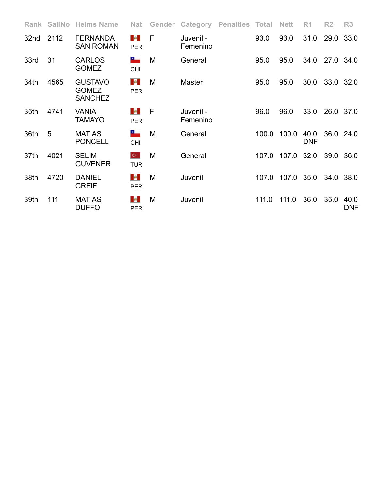|      | Rank SailNo | <b>Helms Name</b>                                | <b>Nat</b>                                | Gender       | Category              | <b>Penalties Total</b> |       | <b>Nett</b> | R <sub>1</sub>     | R <sub>2</sub> | R3                 |
|------|-------------|--------------------------------------------------|-------------------------------------------|--------------|-----------------------|------------------------|-------|-------------|--------------------|----------------|--------------------|
| 32nd | 2112        | <b>FERNANDA</b><br><b>SAN ROMAN</b>              | a l<br><b>PER</b>                         | F            | Juvenil -<br>Femenino |                        | 93.0  | 93.0        | 31.0               | 29.0           | 33.0               |
| 33rd | 31          | <b>CARLOS</b><br><b>GOMEZ</b>                    | ۳.<br><b>CHI</b>                          | M            | General               |                        | 95.0  | 95.0        | 34.0               | 27.0 34.0      |                    |
| 34th | 4565        | <b>GUSTAVO</b><br><b>GOMEZ</b><br><b>SANCHEZ</b> | $\mathbf{M}_{\mathrm{eff}}$<br><b>PER</b> | M            | <b>Master</b>         |                        | 95.0  | 95.0        | 30.0               | 33.0 32.0      |                    |
| 35th | 4741        | <b>VANIA</b><br>TAMAYO                           | $\omega$<br><b>PER</b>                    | $\mathsf{F}$ | Juvenil -<br>Femenino |                        | 96.0  | 96.0        | 33.0               | 26.0 37.0      |                    |
| 36th | 5           | <b>MATIAS</b><br><b>PONCELL</b>                  | ۰.<br><b>CHI</b>                          | M            | General               |                        | 100.0 | 100.0       | 40.0<br><b>DNF</b> | 36.0           | 24.0               |
| 37th | 4021        | <b>SELIM</b><br><b>GUVENER</b>                   | $C^*$<br><b>TUR</b>                       | M            | General               |                        | 107.0 | 107.0       | 32.0               | 39.0           | 36.0               |
| 38th | 4720        | <b>DANIEL</b><br><b>GREIF</b>                    | $\mathbf{M}_{\mathrm{eff}}$<br><b>PER</b> | M            | Juvenil               |                        | 107.0 | 107.0 35.0  |                    | 34.0 38.0      |                    |
| 39th | 111         | <b>MATIAS</b><br><b>DUFFO</b>                    | <b>B</b><br><b>PER</b>                    | M            | Juvenil               |                        | 111.0 | 111.0       | 36.0               | 35.0           | 40.0<br><b>DNF</b> |